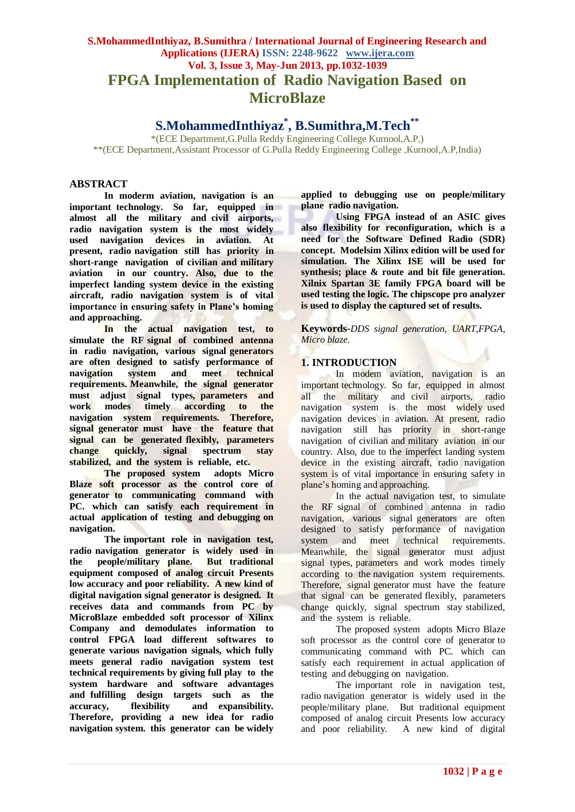# **S.MohammedInthiyaz, B.Sumithra / International Journal of Engineering Research and Applications (IJERA) ISSN: 2248-9622 www.ijera.com Vol. 3, Issue 3, May-Jun 2013, pp.1032-1039 FPGA Implementation of Radio Navigation Based on MicroBlaze**

**S.MohammedInthiyaz\* , B.Sumithra,M.Tech\*\***

\*(ECE Department,G.Pulla Reddy Engineering College Kurnool,A.P,) \*\*(ECE Department,Assistant Processor of G.Pulla Reddy Engineering College ,Kurnool,A.P,India)

# **ABSTRACT**

**In moderm aviation, navigation is an important technology. So far, equipped in almost all the military and civil airports, radio navigation system is the most widely used navigation devices in aviation. At present, radio navigation still has priority in short-range navigation of civilian and military aviation in our country. Also, due to the imperfect landing system device in the existing aircraft, radio navigation system is of vital importance in ensuring safety in Plane's homing and approaching.**

**In the actual navigation test, to simulate the RF signal of combined antenna in radio navigation, various signal generators are often designed to satisfy performance of navigation system and meet technical requirements. Meanwhile, the signal generator must adjust signal types, parameters and**  modes timely according to the **navigation system requirements. Therefore, signal generator must have the feature that signal can be generated flexibly, parameters change quickly, signal spectrum stay stabilized, and the system is reliable, etc.**

**The proposed system adopts Micro Blaze soft processor as the control core of generator to communicating command with PC. which can satisfy each requirement in actual application of testing and debugging on navigation.**

**The important role in navigation test, radio navigation generator is widely used in the people/military plane. But traditional equipment composed of analog circuit Presents low accuracy and poor reliability. A new kind of digital navigation signal generator is designed. It receives data and commands from PC by MicroBlaze embedded soft processor of Xilinx Company and demodulates information to control FPGA load different softwares to generate various navigation signals, which fully meets general radio navigation system test technical requirements by giving full play to the system hardware and software advantages and fulfilling design targets such as the accuracy, flexibility and expansibility. Therefore, providing a new idea for radio navigation system. this generator can be widely** 

**applied to debugging use on people/military plane radio navigation.**

**Using FPGA instead of an ASIC gives also flexibility for reconfiguration, which is a need for the Software Defined Radio (SDR) concept. Modelsim Xilinx edition will be used for simulation. The Xilinx ISE will be used for synthesis; place & route and bit file generation. Xilnix Spartan 3E family FPGA board will be used testing the logic. The chipscope pro analyzer is used to display the captured set of results.**

**Keywords-***DDS signal generation, UART,FPGA, Micro blaze.*

# **1. INTRODUCTION**

In modem aviation, navigation is an important technology. So far, equipped in almost all the military and civil airports, radio navigation system is the most widely used navigation devices in aviation. At present, radio navigation still has priority in short-range navigation of civilian and military aviation in our country. Also, due to the imperfect landing system device in the existing aircraft, radio navigation system is of vital importance in ensuring safety in plane"s homing and approaching.

In the actual navigation test, to simulate the RF signal of combined antenna in radio navigation, various signal generators are often designed to satisfy performance of navigation system and meet technical requirements. Meanwhile, the signal generator must adjust signal types, parameters and work modes timely according to the navigation system requirements. Therefore, signal generator must have the feature that signal can be generated flexibly, parameters change quickly, signal spectrum stay stabilized, and the system is reliable.

The proposed system adopts Micro Blaze soft processor as the control core of generator to communicating command with PC. which can satisfy each requirement in actual application of testing and debugging on navigation.

The important role in navigation test, radio navigation generator is widely used in the people/military plane. But traditional equipment composed of analog circuit Presents low accuracy and poor reliability. A new kind of digital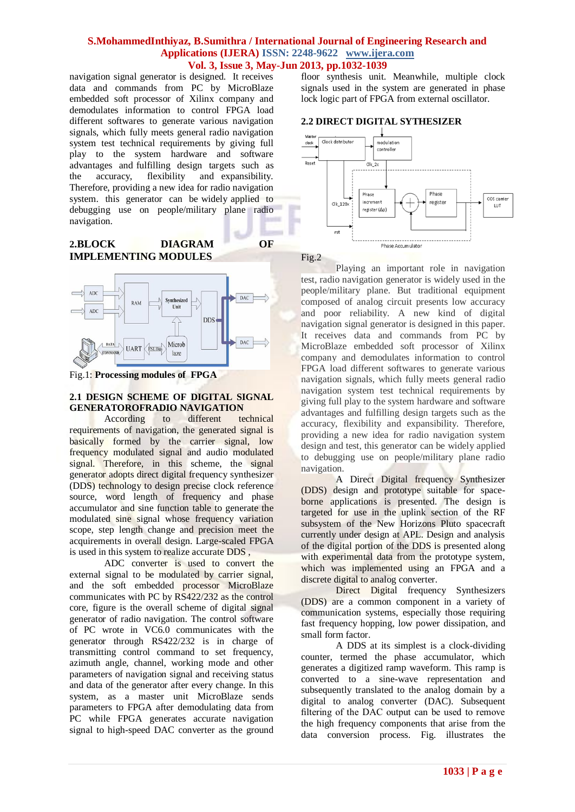navigation signal generator is designed. It receives data and commands from PC by MicroBlaze embedded soft processor of Xilinx company and demodulates information to control FPGA load different softwares to generate various navigation signals, which fully meets general radio navigation system test technical requirements by giving full play to the system hardware and software advantages and fulfilling design targets such as the accuracy, flexibility and expansibility. Therefore, providing a new idea for radio navigation system. this generator can be widely applied to debugging use on people/military plane radio navigation.

# **2.BLOCK DIAGRAM OF IMPLEMENTING MODULES**



Fig.1: **Processing modules of FPGA**

# **2.1 DESIGN SCHEME OF DIGITAL SIGNAL GENERATOROFRADIO NAVIGATION**

According to different technical requirements of navigation, the generated signal is basically formed by the carrier signal, low frequency modulated signal and audio modulated signal. Therefore, in this scheme, the signal generator adopts direct digital frequency synthesizer (DDS) technology to design precise clock reference source, word length of frequency and phase accumulator and sine function table to generate the modulated sine signal whose frequency variation scope, step length change and precision meet the acquirements in overall design. Large-scaled FPGA is used in this system to realize accurate DDS ,

ADC converter is used to convert the external signal to be modulated by carrier signal, and the soft embedded processor MicroBlaze communicates with PC by RS422/232 as the control core, figure is the overall scheme of digital signal generator of radio navigation. The control software of PC wrote in VC6.0 communicates with the generator through RS422/232 is in charge of transmitting control command to set frequency, azimuth angle, channel, working mode and other parameters of navigation signal and receiving status and data of the generator after every change. In this system, as a master unit MicroBlaze sends parameters to FPGA after demodulating data from PC while FPGA generates accurate navigation signal to high-speed DAC converter as the ground floor synthesis unit. Meanwhile, multiple clock signals used in the system are generated in phase lock logic part of FPGA from external oscillator.

# **2.2 DIRECT DIGITAL SYTHESIZER**



Fig.2

Playing an important role in navigation test, radio navigation generator is widely used in the people/military plane. But traditional equipment composed of analog circuit presents low accuracy and poor reliability. A new kind of digital navigation signal generator is designed in this paper. It receives data and commands from PC by MicroBlaze embedded soft processor of Xilinx company and demodulates information to control FPGA load different softwares to generate various navigation signals, which fully meets general radio navigation system test technical requirements by giving full play to the system hardware and software advantages and fulfilling design targets such as the accuracy, flexibility and expansibility. Therefore, providing a new idea for radio navigation system design and test, this generator can be widely applied to debugging use on people/military plane radio navigation.

A Direct Digital frequency Synthesizer (DDS) design and prototype suitable for spaceborne applications is presented. The design is targeted for use in the uplink section of the RF subsystem of the New Horizons Pluto spacecraft currently under design at APL. Design and analysis of the digital portion of the DDS is presented along with experimental data from the prototype system, which was implemented using an FPGA and a discrete digital to analog converter.

Direct Digital frequency Synthesizers (DDS) are a common component in a variety of communication systems, especially those requiring fast frequency hopping, low power dissipation, and small form factor.

A DDS at its simplest is a clock-dividing counter, termed the phase accumulator, which generates a digitized ramp waveform. This ramp is converted to a sine-wave representation and subsequently translated to the analog domain by a digital to analog converter (DAC). Subsequent filtering of the DAC output can be used to remove the high frequency components that arise from the data conversion process. Fig. illustrates the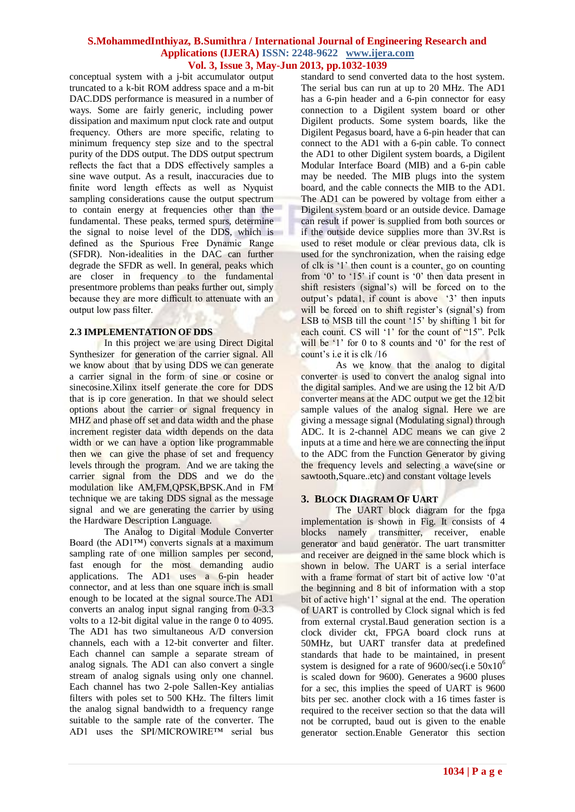conceptual system with a j-bit accumulator output truncated to a k-bit ROM address space and a m-bit DAC.DDS performance is measured in a number of ways. Some are fairly generic, including power dissipation and maximum nput clock rate and output frequency. Others are more specific, relating to minimum frequency step size and to the spectral purity of the DDS output. The DDS output spectrum reflects the fact that a DDS effectively samples a sine wave output. As a result, inaccuracies due to finite word length effects as well as Nyquist sampling considerations cause the output spectrum to contain energy at frequencies other than the fundamental. These peaks, termed spurs, determine the signal to noise level of the DDS, which is defined as the Spurious Free Dynamic Range (SFDR). Non-idealities in the DAC can further degrade the SFDR as well. In general, peaks which are closer in frequency to the fundamental presentmore problems than peaks further out, simply because they are more difficult to attenuate with an output low pass filter.

## **2.3 IMPLEMENTATION OF DDS**

In this project we are using Direct Digital Synthesizer for generation of the carrier signal. All we know about that by using DDS we can generate a carrier signal in the form of sine or cosine or sinecosine.Xilinx itself generate the core for DDS that is ip core generation. In that we should select options about the carrier or signal frequency in MHZ and phase off set and data width and the phase increment register data width depends on the data width or we can have a option like programmable then we can give the phase of set and frequency levels through the program. And we are taking the carrier signal from the DDS and we do the modulation like AM,FM,QPSK,BPSK.And in FM technique we are taking DDS signal as the message signal and we are generating the carrier by using the Hardware Description Language.

The Analog to Digital Module Converter Board (the AD1™) converts signals at a maximum sampling rate of one million samples per second, fast enough for the most demanding audio applications. The AD1 uses a 6-pin header connector, and at less than one square inch is small enough to be located at the signal source.The AD1 converts an analog input signal ranging from 0-3.3 volts to a 12-bit digital value in the range 0 to 4095. The AD1 has two simultaneous A/D conversion channels, each with a 12-bit converter and filter. Each channel can sample a separate stream of analog signals. The AD1 can also convert a single stream of analog signals using only one channel. Each channel has two 2-pole Sallen-Key antialias filters with poles set to 500 KHz. The filters limit the analog signal bandwidth to a frequency range suitable to the sample rate of the converter. The AD1 uses the SPI/MICROWIRE™ serial bus

standard to send converted data to the host system. The serial bus can run at up to 20 MHz. The AD1 has a 6-pin header and a 6-pin connector for easy connection to a Digilent system board or other Digilent products. Some system boards, like the Digilent Pegasus board, have a 6-pin header that can connect to the AD1 with a 6-pin cable. To connect the AD1 to other Digilent system boards, a Digilent Modular Interface Board (MIB) and a 6-pin cable may be needed. The MIB plugs into the system board, and the cable connects the MIB to the AD1. The AD1 can be powered by voltage from either a Digilent system board or an outside device. Damage can result if power is supplied from both sources or if the outside device supplies more than 3V.Rst is used to reset module or clear previous data, clk is used for the synchronization, when the raising edge of clk is "1" then count is a counter, go on counting from '0' to '15' if count is '0' then data present in shift resisters (signal's) will be forced on to the output's pdata1, if count is above '3' then inputs will be forced on to shift register's (signal's) from LSB to MSB till the count '15' by shifting 1 bit for each count. CS will '1' for the count of "15". Pclk will be  $'1'$  for 0 to 8 counts and  $'0'$  for the rest of count's i.e it is clk /16

As we know that the analog to digital converter is used to convert the analog signal into the digital samples. And we are using the 12 bit A/D converter means at the ADC output we get the 12 bit sample values of the analog signal. Here we are giving a message signal (Modulating signal) through ADC. It is 2-channel ADC means we can give 2 inputs at a time and here we are connecting the input to the ADC from the Function Generator by giving the frequency levels and selecting a wave(sine or sawtooth,Square..etc) and constant voltage levels

# **3. BLOCK DIAGRAM OF UART**

The UART block diagram for the fpga implementation is shown in Fig. It consists of 4 blocks namely transmitter, receiver, enable generator and baud generator. The uart transmitter and receiver are deigned in the same block which is shown in below. The UART is a serial interface with a frame format of start bit of active low '0'at the beginning and 8 bit of information with a stop bit of active high'1' signal at the end. The operation of UART is controlled by Clock signal which is fed from external crystal.Baud generation section is a clock divider ckt, FPGA board clock runs at 50MHz, but UART transfer data at predefined standards that hade to be maintained, in present system is designed for a rate of 9600/sec(i.e  $50x10^6$ is scaled down for 9600). Generates a 9600 pluses for a sec, this implies the speed of UART is 9600 bits per sec. another clock with a 16 times faster is required to the receiver section so that the data will not be corrupted, baud out is given to the enable generator section.Enable Generator this section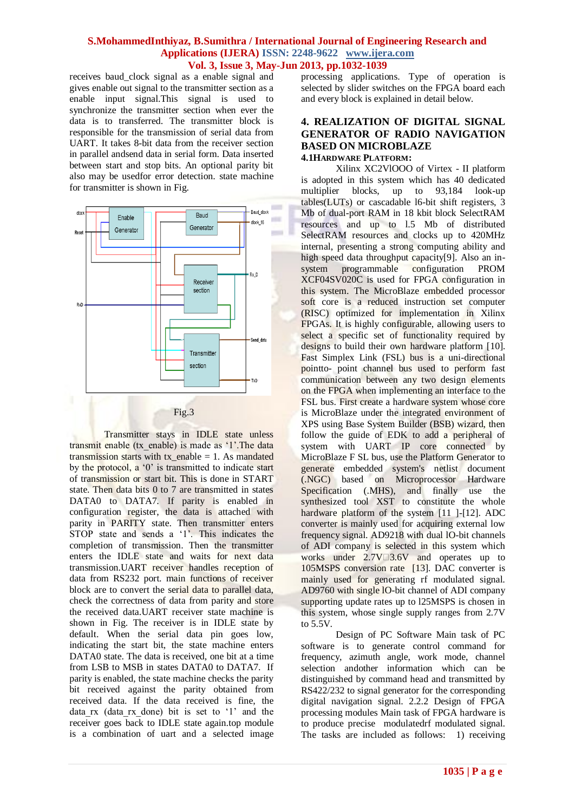receives baud\_clock signal as a enable signal and gives enable out signal to the transmitter section as a enable input signal.This signal is used to synchronize the transmitter section when ever the data is to transferred. The transmitter block is responsible for the transmission of serial data from UART. It takes 8-bit data from the receiver section in parallel andsend data in serial form. Data inserted between start and stop bits. An optional parity bit also may be usedfor error detection. state machine for transmitter is shown in Fig.



Transmitter stays in IDLE state unless transmit enable (tx\_enable) is made as '1'.The data transmission starts with  $tx$  enable = 1. As mandated by the protocol, a '0' is transmitted to indicate start of transmission or start bit. This is done in START state. Then data bits 0 to 7 are transmitted in states DATA0 to DATA7. If parity is enabled in configuration register, the data is attached with parity in PARITY state. Then transmitter enters STOP state and sends a '1'. This indicates the completion of transmission. Then the transmitter enters the IDLE state and waits for next data transmission.UART receiver handles reception of data from RS232 port. main functions of receiver block are to convert the serial data to parallel data, check the correctness of data from parity and store the received data.UART receiver state machine is shown in Fig. The receiver is in IDLE state by default. When the serial data pin goes low, indicating the start bit, the state machine enters DATA0 state. The data is received, one bit at a time from LSB to MSB in states DATA0 to DATA7. If parity is enabled, the state machine checks the parity bit received against the parity obtained from received data. If the data received is fine, the data\_rx (data\_rx\_done) bit is set to "1" and the receiver goes back to IDLE state again.top module is a combination of uart and a selected image processing applications. Type of operation is selected by slider switches on the FPGA board each and every block is explained in detail below.

### **4. REALIZATION OF DIGITAL SIGNAL GENERATOR OF RADIO NAVIGATION BASED ON MICROBLAZE 4.1HARDWARE PLATFORM:**

Xilinx XC2VlOOO of Virtex - II platform is adopted in this system which has 40 dedicated multiplier blocks, up to 93,184 look-up tables(LUTs) or cascadable l6-bit shift registers, 3 Mb of dual-port RAM in 18 kbit block SelectRAM resources and up to l.5 Mb of distributed SelectRAM resources and clocks up to 420MHz internal, presenting a strong computing ability and high speed data throughput capacity[9]. Also an insystem programmable configuration PROM XCF04SV020C is used for FPGA configuration in this system. The MicroBlaze embedded processor soft core is a reduced instruction set computer (RISC) optimized for implementation in Xilinx FPGAs. It is highly configurable, allowing users to select a specific set of functionality required by designs to build their own hardware platform [10]. Fast Simplex Link (FSL) bus is a uni-directional pointto- point channel bus used to perform fast communication between any two design elements on the FPGA when implementing an interface to the FSL bus. First create a hardware system whose core is MicroBlaze under the integrated environment of XPS using Base System Builder (BSB) wizard, then follow the guide of EDK to add a peripheral of system with UART IP core connected by MicroBlaze F SL bus, use the Platform Generator to generate embedded system's netlist document (.NGC) based on Microprocessor Hardware Specification (.MHS), and finally use the synthesized tool XST to constitute the whole hardware platform of the system [11 ]-[12]. ADC converter is mainly used for acquiring external low frequency signal. AD9218 with dual lO-bit channels of ADI company is selected in this system which works under  $2.7V\square 3.6V$  and operates up to 105MSPS conversion rate [13]. DAC converter is mainly used for generating rf modulated signal. AD9760 with single lO-bit channel of ADI company supporting update rates up to l25MSPS is chosen in this system, whose single supply ranges from 2.7V to 5.5V.

Design of PC Software Main task of PC software is to generate control command for frequency, azimuth angle, work mode, channel selection andother information which can be distinguished by command head and transmitted by RS422/232 to signal generator for the corresponding digital navigation signal. 2.2.2 Design of FPGA processing modules Main task of FPGA hardware is to produce precise modulatedrf modulated signal. The tasks are included as follows: 1) receiving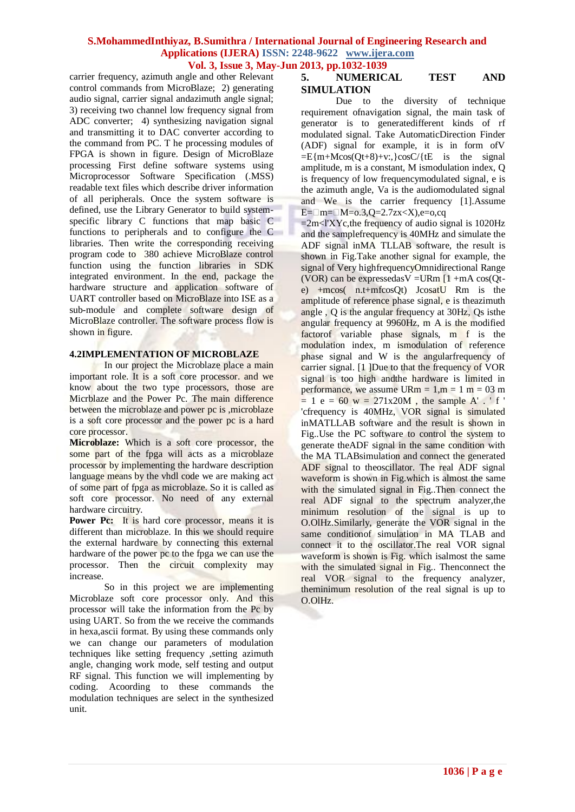carrier frequency, azimuth angle and other Relevant control commands from MicroBlaze; 2) generating audio signal, carrier signal andazimuth angle signal; 3) receiving two channel low frequency signal from ADC converter; 4) synthesizing navigation signal and transmitting it to DAC converter according to the command from PC. T he processing modules of FPGA is shown in figure. Design of MicroBlaze processing First define software systems using Microprocessor Software Specification (.MSS) readable text files which describe driver information of all peripherals. Once the system software is defined, use the Library Generator to build systemspecific library C functions that map basic C functions to peripherals and to configure the C libraries. Then write the corresponding receiving program code to 380 achieve MicroBlaze control function using the function libraries in SDK integrated environment. In the end, package the hardware structure and application software of UART controller based on MicroBlaze into ISE as a sub-module and complete software design of MicroBlaze controller. The software process flow is shown in figure.

## **4.2IMPLEMENTATION OF MICROBLAZE**

In our project the Microblaze place a main important role. It is a soft core processor. and we know about the two type processors, those are Micrblaze and the Power Pc. The main difference between the microblaze and power pc is ,microblaze is a soft core processor and the power pc is a hard core processor.

**Microblaze:** Which is a soft core processor, the some part of the fpga will acts as a microblaze processor by implementing the hardware description language means by the vhdl code we are making act of some part of fpga as microblaze. So it is called as soft core processor. No need of any external hardware circuitry.

Power Pc: It is hard core processor, means it is different than microblaze. In this we should require the external hardware by connecting this external hardware of the power pc to the fpga we can use the processor. Then the circuit complexity may increase.

So in this project we are implementing Microblaze soft core processor only. And this processor will take the information from the Pc by using UART. So from the we receive the commands in hexa,ascii format. By using these commands only we can change our parameters of modulation techniques like setting frequency ,setting azimuth angle, changing work mode, self testing and output RF signal. This function we will implementing by coding. Acoording to these commands the modulation techniques are select in the synthesized unit.

# **5. NUMERICAL TEST AND SIMULATION**

Due to the diversity of technique requirement ofnavigation signal, the main task of generator is to generatedifferent kinds of rf modulated signal. Take AutomaticDirection Finder (ADF) signal for example, it is in form ofV  $=$ E{m+Mcos(Ot+8)+v:, }cosC/{tE is the signal amplitude, m is a constant, M ismodulation index, Q is frequency of low frequencymodulated signal, e is the azimuth angle, Va is the audiomodulated signal and We is the carrier frequency [1].Assume  $E=\square m=\square M=o.3,Q=2.7zx$ 

 $=2m<sub>1</sub>XYc,$ the frequency of audio signal is 1020Hz and the samplefrequency is 40MHz and simulate the ADF signal inMA TLLAB software, the result is shown in Fig.Take another signal for example, the signal of Very highfrequencyOmnidirectional Range (VOR) can be expressed as  $V = U Rm [1 + mA \cos(Qt - Q)]$ e) +mcos( n.t+mfcosQt) JcosatU Rm is the amplitude of reference phase signal, e is theazimuth angle , Q is the angular frequency at 30Hz, Qs isthe angular frequency at 9960Hz, m A is the modified factorof variable phase signals, m f is the modulation index, m ismodulation of reference phase signal and W is the angularfrequency of carrier signal. [1 ]Due to that the frequency of VOR signal is too high and the hardware is limited in performance, we assume  $\text{URm} = 1, \text{m} = 1 \text{ m} = 03 \text{ m}$  $= 1 e = 60$  w = 271x20M, the sample A'. ' f' 'cfrequency is 40MHz, VOR signal is simulated inMATLLAB software and the result is shown in Fig..Use the PC software to control the system to generate theADF signal in the same condition with the MA TLABsimulation and connect the generated ADF signal to theoscillator. The real ADF signal waveform is shown in Fig.which is almost the same with the simulated signal in Fig..Then connect the real ADF signal to the spectrum analyzer,the minimum resolution of the signal is up to O.OlHz.Similarly, generate the VOR signal in the same conditionof simulation in MA TLAB and connect it to the oscillator.The real VOR signal waveform is shown is Fig. which isalmost the same with the simulated signal in Fig.. Thenconnect the real VOR signal to the frequency analyzer, theminimum resolution of the real signal is up to O.OlHz.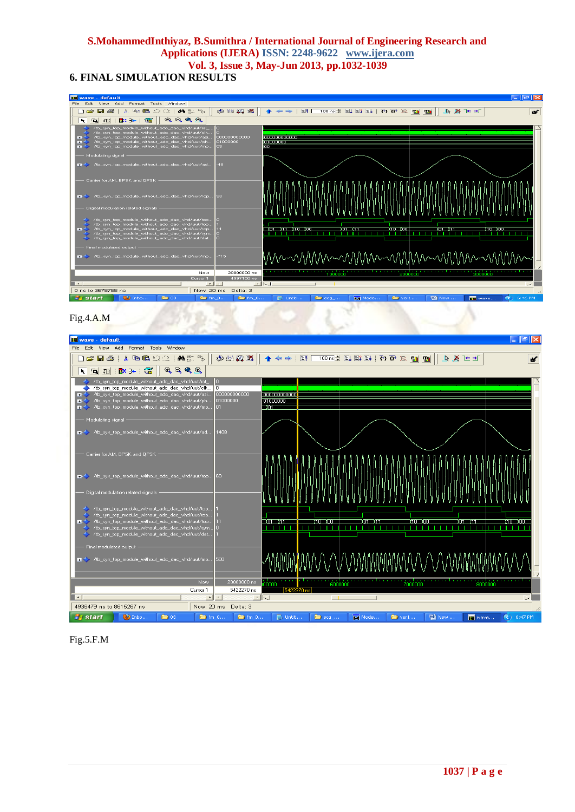# **6. FINAL SIMULATION RESULTS**







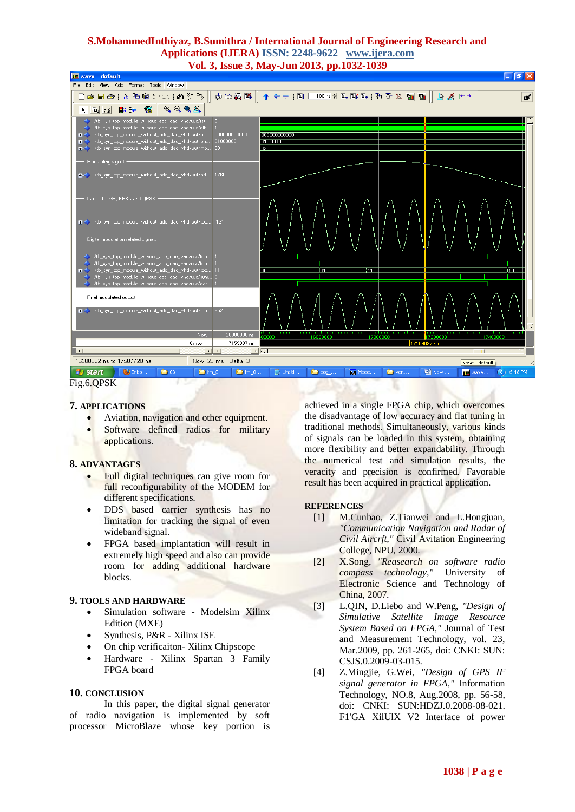

Fig.6.QPSK

## **7. APPLICATIONS**

- Aviation, navigation and other equipment.
- Software defined radios for military applications.

#### **8. ADVANTAGES**

- Full digital techniques can give room for full reconfigurability of the MODEM for different specifications.
- DDS based carrier synthesis has no limitation for tracking the signal of even wideband signal.
- FPGA based implantation will result in extremely high speed and also can provide room for adding additional hardware blocks.

#### **9. TOOLS AND HARDWARE**

- Simulation software Modelsim Xilinx Edition (MXE)
- Synthesis, P&R Xilinx ISE
- On chip verificaiton- Xilinx Chipscope
- Hardware Xilinx Spartan 3 Family FPGA board

#### **10. CONCLUSION**

In this paper, the digital signal generator of radio navigation is implemented by soft processor MicroBlaze whose key portion is achieved in a single FPGA chip, which overcomes the disadvantage of low accuracy and flat tuning in traditional methods. Simultaneously, various kinds of signals can be loaded in this system, obtaining more flexibility and better expandability. Through the numerical test and simulation results, the veracity and precision is confirmed. Favorable result has been acquired in practical application.

#### **REFERENCES**

- [1] M.Cunbao, Z.Tianwei and L.Hongjuan, *"Communication Navigation and Radar of Civil Aircrft,"* Civil Avitation Engineering College, NPU, 2000.
- [2] X.Song, *"Reasearch on software radio compass technology,"* University of Electronic Science and Technology of China, 2007.
- [3] L.QIN, D.Liebo and W.Peng, *"Design of Simulative Satellite Image Resource System Based on FPGA,"* Journal of Test and Measurement Technology, vol. 23, Mar.2009, pp. 261-265, doi: CNKI: SUN: CSJS.0.2009-03-015.
- [4] Z.Mingjie, G.Wei, *"Design of GPS IF signal generator in FPGA,"* Information Technology, NO.8, Aug.2008, pp. 56-58, doi: CNKI: SUN:HDZJ.0.2008-08-021. F1'GA XilUlX V2 Interface of power